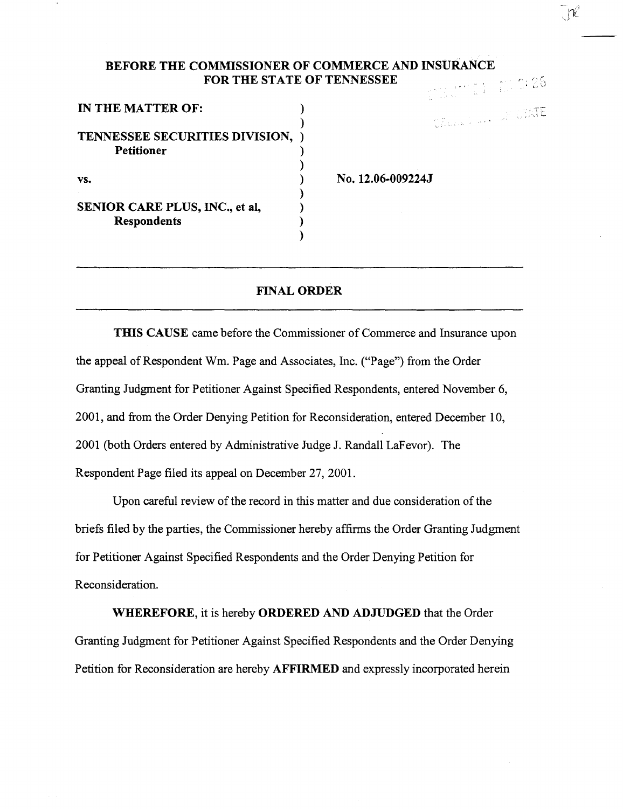# BEFORE THE COMMISSIONER OF COMMERCE AND INSURANCE FOR THE STATE OF TENNESSEE

| IN THE MATTER OF:              |  |
|--------------------------------|--|
|                                |  |
| TENNESSEE SECURITIES DIVISION, |  |
| Petitioner                     |  |
|                                |  |
| VS.                            |  |
|                                |  |
| SENIOR CARE PLUS, INC., et al. |  |
| <b>Respondents</b>             |  |
|                                |  |

No. 12.06-009224J

# FINAL ORDER

THIS CAUSE came before the Commissioner of Commerce and Insurance upon the appeal of Respondent Wm. Page and Associates, Inc. ("Page") from the Order Granting Judgment for Petitioner Against Specified Respondents, entered November 6, 2001, and from the Order Denying Petition for Reconsideration, entered December 10, 2001 (both Orders entered by Administrative Judge J. Randall LaFevor). The Respondent Page filed its appeal on December 27, 2001.

Upon careful review of the record in this matter and due consideration of the briefs filed by the parties, the Commissioner hereby affirms the Order Granting Judgment for Petitioner Against Specified Respondents and the Order Denying Petition for Reconsideration.

WHEREFORE, it is hereby ORDERED AND ADJUDGED that the Order Granting Judgment for Petitioner Against Specified Respondents and the Order Denying Petition for Reconsideration are hereby AFFIRMED and expressly incorporated herein

 $\frac{1}{2}$ ,  $\frac{1}{6}$ 

**SECOND PROPERTY**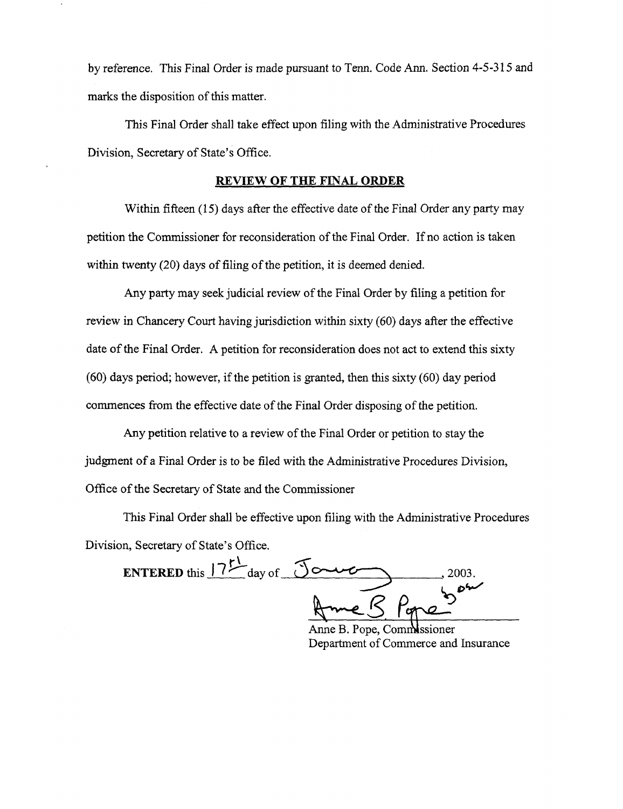by reference. This Final Order is made pursuant to Tenn. Code Ann. Section 4-5-315 and marks the disposition of this matter.

This Final Order shall take effect upon filing with the Administrative Procedures Division, Secretary of State's Office.

### **REVIEW OF THE FINAL ORDER**

Within fifteen (15) days after the effective date of the Final Order any party may petition the Commissioner for reconsideration of the Final Order. If no action is taken within twenty (20) days of filing of the petition, it is deemed denied.

Any party may seek judicial review of the Final Order by filing a petition for review in Chancery Court having jurisdiction within sixty (60) days after the effective date of the Final Order. A petition for reconsideration does not act to extend this sixty (60) days period; however, if the petition is granted, then this sixty (60) day period commences from the effective date of the Final Order disposing of the petition.

Any petition relative to a review of the Final Order or petition to stay the judgment of a Final Order is to be filed with the Administrative Procedures Division, Office of the Secretary of State and the Commissioner

This Final Order shall be effective upon filing with the Administrative Procedures Division, Secretary of State's Office.

**r\**  This Final Order shall be effective upon filing with the Administrative P<br>n, Secretary of State's Office.<br>**ENTERED** this  $\frac{17^{11}}{200}$  day of <u>Journal</u> 2003.  $R$   $p_{\text{m0}}$   $p^{\text{6}}$ 

Anne B. Pope, Commissioner Department of Commerce and Insurance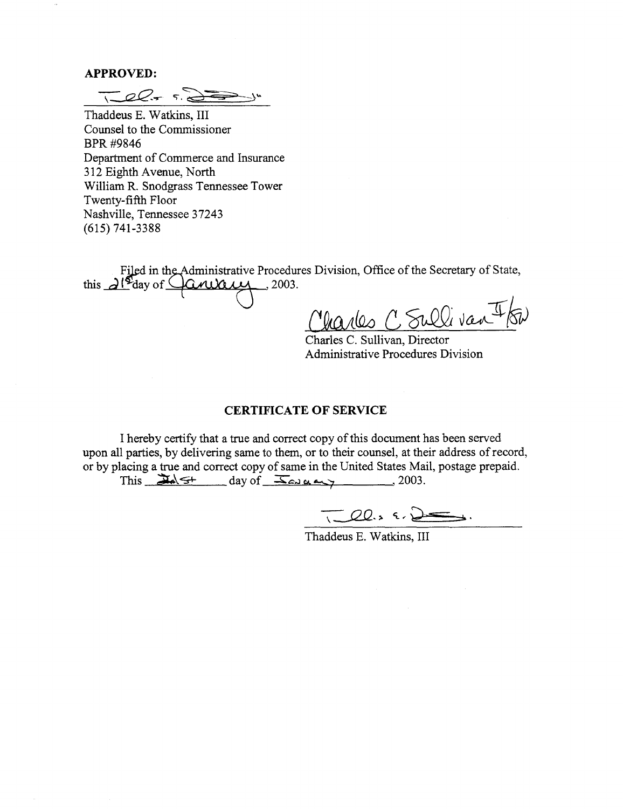#### **APPROVED:**

*-z-\_\_\_cz.e....-* c;- .d?=? )"

Thaddeus E. Watkins, III Counsel to the Commissioner BPR#9846 Department of Commerce and Insurance 312 Eighth Avenue, North William R. Snodgrass Tennessee Tower Twenty-fifth Floor Nashville, Tennessee 37243 (615) 741-3388

Filed in the Administrative Procedures Division, Office of the Secretary of State, this  $d^{s}$  day of  $\Box$  and  $\Box$  2003.

*{1ta;tW.:,* C., ~ VM--Jf */f»* 

Charles C. Sullivan, Director Administrative Procedures Division

## **CERTIFICATE OF SERVICE**

I hereby certify that a true and correct copy of this document has been served upon all parties, by delivering same to them, or to their counsel, at their address of record, or by placing a true and correct copy of same in the United States Mail, postage prepaid.

This  $\frac{dA}{dt}$   $\frac{d\phi}{dt}$  day of  $\frac{d\phi}{dt}$  and  $\frac{d\phi}{dt}$ , 2003.

 $7-22.5$  8.  $2-3$ .

Thaddeus E. Watkins, III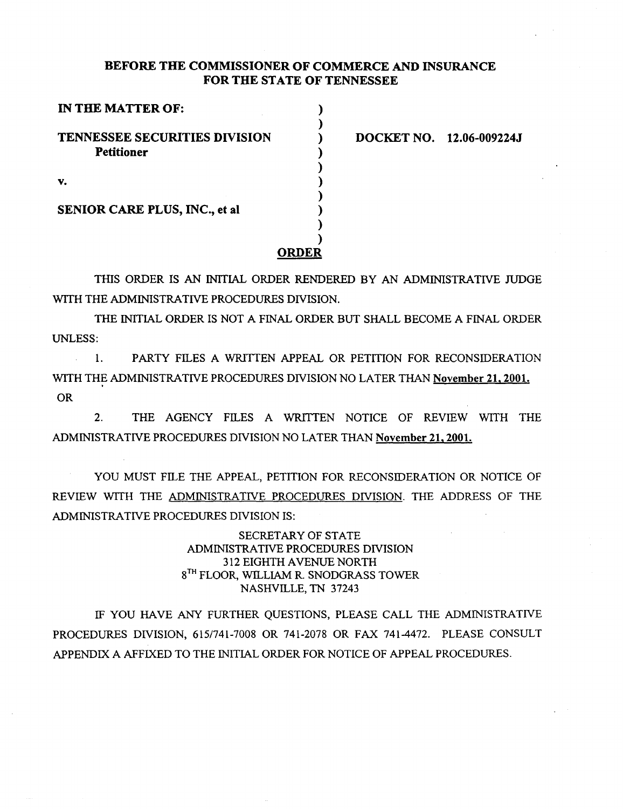## BEFORE THE COMMISSIONER OF COMMERCE AND INSURANCE FOR THE STATE OF TENNESSEE

| IN THE MATTER OF:                                         |       |
|-----------------------------------------------------------|-------|
| <b>TENNESSEE SECURITIES DIVISION</b><br><b>Petitioner</b> |       |
| V.                                                        |       |
| <b>SENIOR CARE PLUS, INC., et al.</b>                     |       |
|                                                           | ORDEI |

DOCKET NO. 12.06-009224J

THIS ORDER IS AN INITIAL ORDER RENDERED BY AN ADMINISTRATIVE JUDGE WITH THE ADMINISTRATIVE PROCEDURES DIVISION.

THE INITIAL ORDER IS NOT A FINAL ORDER BUT SHALL BECOME A FINAL ORDER UNLESS:

1. PARTY FILES A WRITTEN APPEAL OR PETITION FOR RECONSIDERATION WITH THE ADMINISTRATIVE PROCEDURES DIVISION NO LATER THAN November 21, 2001. OR

2. THE AGENCY FILES A WRITTEN NOTICE OF REVIEW WITH THE ADMINISTRATIVE PROCEDURES DIVISION NO LATER THAN November 21,2001.

YOU MUST FILE THE APPEAL, PETITION FOR RECONSIDERATION OR NOTICE OF REVIEW WITH THE ADMINISTRATIVE PROCEDURES DIVISION. THE ADDRESS OF THE ADMINISTRATIVE PROCEDURES DIVISION IS:

> SECRETARY OF STATE ADMINISTRATIVE PROCEDURES DIVISION 312 EIGHTH A VENUE NORTH 8<sup>TH</sup> FLOOR, WILLIAM R. SNODGRASS TOWER NASHVILLE, TN 37243

IF YOU HAVE ANY FURTHER QUESTIONS, PLEASE CALL THE ADMINISTRATIVE PROCEDURES DIVISION, 6151741-7008 OR 741-2078 OR FAX 741-4472. PLEASE CONSULT APPENDIX A AFFIXED TO THE INITIAL ORDER FOR NOTICE OF APPEAL PROCEDURES.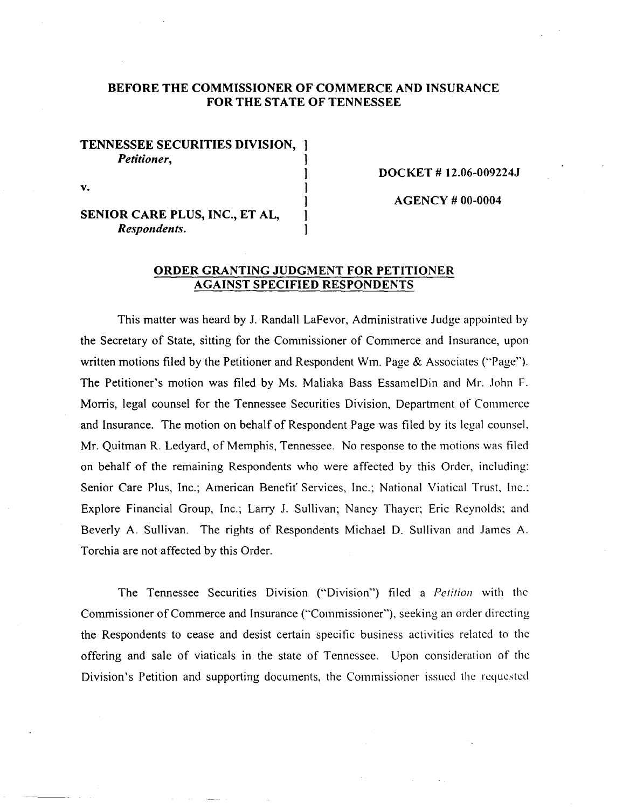# **BEFORE THE COMMISSIONER OF COMMERCE AND INSURANCE FOR THE STATE OF TENNESSEE**

# **TENNESSEE SECURITIES DIVISION,**  *Petitioner,*

**DOCKET # 12.06-009224J** 

**SENIOR CARE PLUS, INC., ET AL,**   $Respondents.$ 

**v.** 

**AGENCY# 00-0004** 

# **ORDER GRANTING JUDGMENT FOR PETITIONER AGAINST SPECIFIED RESPONDENTS**

 $\mathbf{I}$ 

This matter was heard by J. Randall LaFevor, Administrative Judge appointed by the Secretary of State, sitting for the Commissioner of Commerce and Insurance, upon written motions filed by the Petitioner and Respondent Wm. Page & Associates ("Page"). The Petitioner's motion was filed by Ms. Maliaka Bass EssamelDin and Mr. John F. Morris, legal counsel for the Tennessee Securities Division, Department of Commerce and Insurance. The motion on behalf of Respondent Page was filed by its legal counsel, Mr. Quitman R. Ledyard, of Memphis, Tennessee. No response to the motions was filed on behalf of the remaining Respondents who were affected by this Order, including: Senior Care Plus, Inc.; American Benefit Services, Inc.; National Viatical Trust, Inc.: Explore Financial Group, Inc.; Larry J. Sullivan; Nancy Thayer; Eric Reynolds; and Beverly A. Sullivan. The rights of Respondents Michael D. Sullivan and James A. Torchia are not affected by this Order.

The Tennessee Securities Division ("Division") filed a *Petition* with the Commissioner of Commerce and Insurance ("Commissioner"), seeking an order directing the Respondents to cease and desist certain specitic business activities related to the offering and sale of viaticals in the state of Tennessee. Upon consideration of the Division's Petition and supporting documents, the Commissioner issued the requested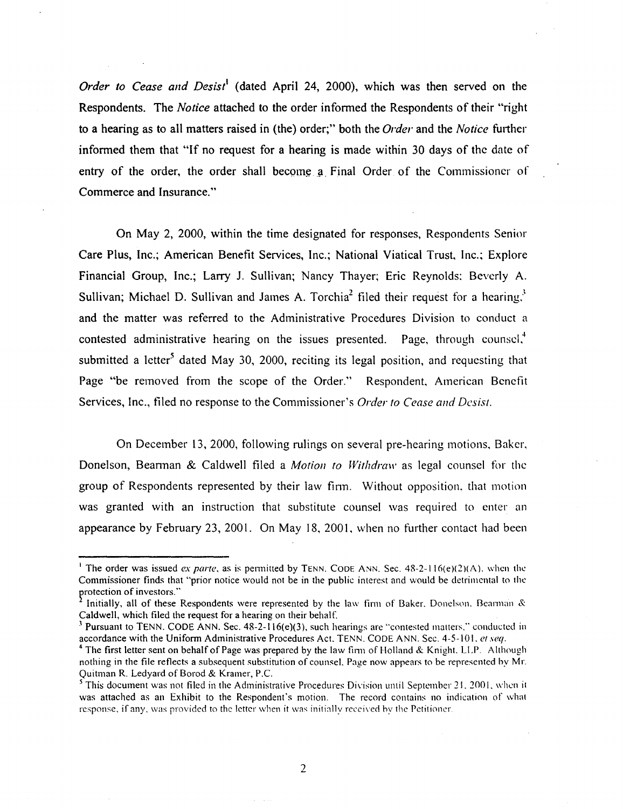*Order to Cease and Desist<sup>1</sup>* (dated April 24, 2000), which was then served on the Respondents. The *Notice* attached to the order informed the Respondents of their "right to a hearing as to all matters raised in (the) order;" both the *Order* and the *Notice* futther informed them that "If no request for a hearing is made within 30 days of the date of entry of the order, the order shall become a Final Order of the Commissioner of Commerce and Insurance."

On May 2, 2000, within the time designated for responses, Respondents Senior Care Plus, Inc.; American Benefit Services, Inc.; National Viatical Trust, Inc.; Explore Financial Group, Inc.; Larry J. Sullivan; Nancy Thayer; Eric Reynolds: Beverly A. Sullivan; Michael D. Sullivan and James A. Torchia<sup>2</sup> filed their request for a hearing.<sup>3</sup> and the matter was referred to the Administrative Procedures Division to conduct a contested administrative hearing on the issues presented. Page, through counsel, $\ddot{\phantom{a}}$ submitted a letter<sup>5</sup> dated May 30, 2000, reciting its legal position, and requesting that Page "be removed from the scope of the Order." Respondent, American Benefit Services, Inc., filed no response to the Commissioner's *Order to Cease and Desist.* 

On December 13, 2000, following rulings on several pre-hearing motions, Baker, Donelson, Beannan & Caldwell filed a *Motion to Withdraw* as legal counsel for the group of Respondents represented by their law finn. Without opposition. that motion was granted with an instruction that substitute counsel was required to enter an appearance by February 23, 2001. On May 18, 2001, when no further contact had been

<sup>&</sup>lt;sup>1</sup> The order was issued *ex parte*, as is permitted by TENN. CODE ANN. Sec.  $48-2-116(e)(2)(A)$ , when the Commissioner finds that "prior notice would not be in the public interest and would be detrimental to the protection of investors."

Initially, all of these Respondents were represented by the law firm of Baker. Donelson. Bearman & Caldwell, which filed the request for a hearing on their behalf.

<sup>&</sup>lt;sup>3</sup> Pursuant to TENN. CODE ANN. Sec. 48-2-116(e)(3), such hearings are "contested matters." conducted in accordance with the Uniform Administrative Procedures Act. TENN. CODE ANN. Sec. 4-5-101. *etseq.* 

<sup>&</sup>lt;sup>4</sup> The first letter sent on behalf of Page was prepared by the law firm of Holland & Knight. LLP. Although nothing in the file reflects a subsequent substitution of counsel. Page now appears to be represented by Mr.<br>Quitman R. Ledyard of Borod & Kramer, P.C.

<sup>&</sup>lt;sup>5</sup> This document was not filed in the Administrative Procedures Division until September 21, 2001, when it was attached as an Exhibit to the Respondent's motion. The record contains no indication of what response, if any, was provided to the letter when it was initially recciwd hy the Petitioner.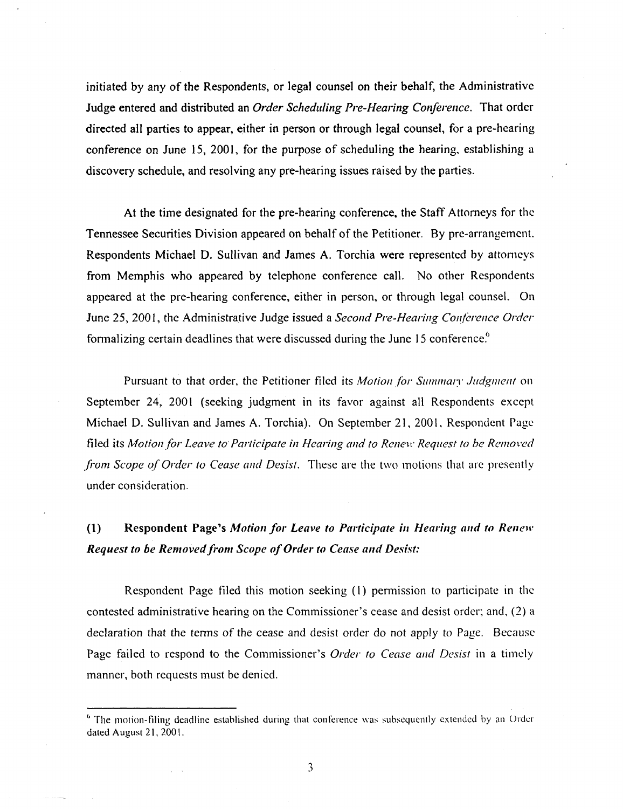initiated by any of the Respondents, or legal counsel on their behalf, the Administrative Judge entered and distributed an *Order Scheduling Pre-Hearing Conference.* That order directed all parties to appear, either in person or through legal counsel, for a pre-hearing conference on June 15, 2001, for the purpose of scheduling the hearing, establishing a discovery schedule, and resolving any pre-hearing issues raised by the parties.

At the time designated for the pre-hearing conference, the Staff Attorneys for the Tennessee Securities Division appeared on behalf of the Petitioner. By pre-arrangement. Respondents Michael D. Sullivan and James A. Torchia were represented by attomcys from Memphis who appeared by telephone conference call. No other Respondents appeared at the pre-hearing conference, either in person, or through legal counsel. On June 25, 2001, the Administrative Judge issued a *Second Pre-Hearing Conference Order* formalizing certain deadlines that were discussed during the June 15 conference.<sup>6</sup>

Pursuant to that order, the Petitioner filed its *Motion for Summary Judgment* on September 24, 2001 (seeking judgment in its favor against all Respondents except Michael D. Sullivan and James A. Torchia). On September 21, 2001, Respondent Page filed its Motion for Leave to Participate in Hearing and to Renew Request to be Removed *from Scope of Order to Cease and Desist.* These are the two motions that arc presently under consideration.

# (1) Respondent Page's *Motion for Leave to Participate in Hearing and to Renew Request to be Removed from Scope of Order to Cease and Desist:*

Respondent Page filed this motion seeking (1) permission to participate in the contested administrative hearing on the Commissioner's cease and desist order: and, (2) a declaration that the tenns of the cease and desist order do not apply to Page. Because Page failed to respond to the Commissioner's *Order to Cease and Desist* in a timely manner, both requests must be denied.

<sup>&</sup>lt;sup>6</sup> The motion-filing deadline established during that conference was subsequently extended by an Order dated August 21, 2001.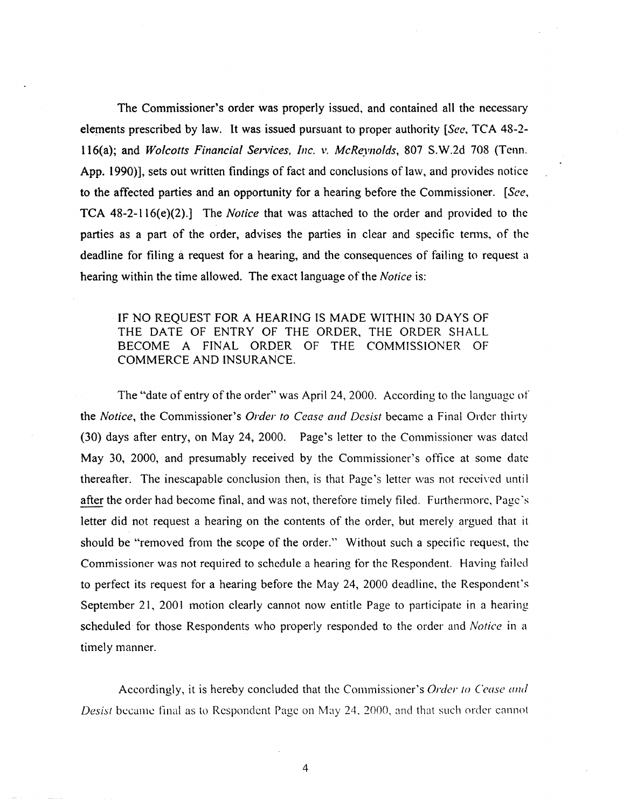The Commissioner's order was properly issued, and contained all the necessary elements prescribed by law. It was issued pursuant to proper authority *[See,* TCA 48-2 ll6(a); and *Wolcotts Financial Services, Inc. v. McReynolds,* 807 S.W.2d 708 (Tenn. App. 1990)], sets out written findings of fact and conclusions of law, and provides notice to the affected parties and an opportunity for a hearing before the Commissioner. *[See,*  TCA 48-2-ll6(e)(2).] The *Notice* that was attached to the order and provided to the parties as a part of the order, advises the parties in clear and specific tenns, of the deadline for filing a request for a hearing, and the consequences of failing to request a hearing within the time allowed. The exact language of the *Notice* is:

# IF NO REQUEST FOR A HEARING IS MADE WITHIN 30 DAYS OF THE DATE OF ENTRY OF THE ORDER, THE ORDER SHALL BECOME A FINAL ORDER OF THE COMMISSIONER OF COMMERCE AND INSURANCE.

The "date of entry of the order" was April 24, 2000. According to the language of the *Notice,* the Commissioner's *Order to Cease and Desist* became a Final Order thirty (30) days after entry, on May 24, 2000. Page's letter to the Commissioner was dated May 30, 2000, and presumably received by the Commissioner's oftice at some date thereafter. The inescapable conclusion then, is that Page's letter was not received until after the order had become final, and was not, therefore timely filed. Furthermore, Page ·s letter did not request a hearing on the contents of the order, but merely argued that it should be "removed from the scope of the order." Without such a specific request, the Commissioner was not required to schedule a hearing tor the Respondent. Having failed to perfect its request for a hearing before the May 24, 2000 deadline, the Respondent's September 21, 2001 motion clearly cannot now entitle Page to participate in a hearing scheduled for those Respondents who properly responded to the order and *Notice* in a timely manner.

Accordingly, it is hereby concluded that the Commissioner's *Order to Cease and Desist* became final as to Respondent Page on May 24, 2000, and that such order cannot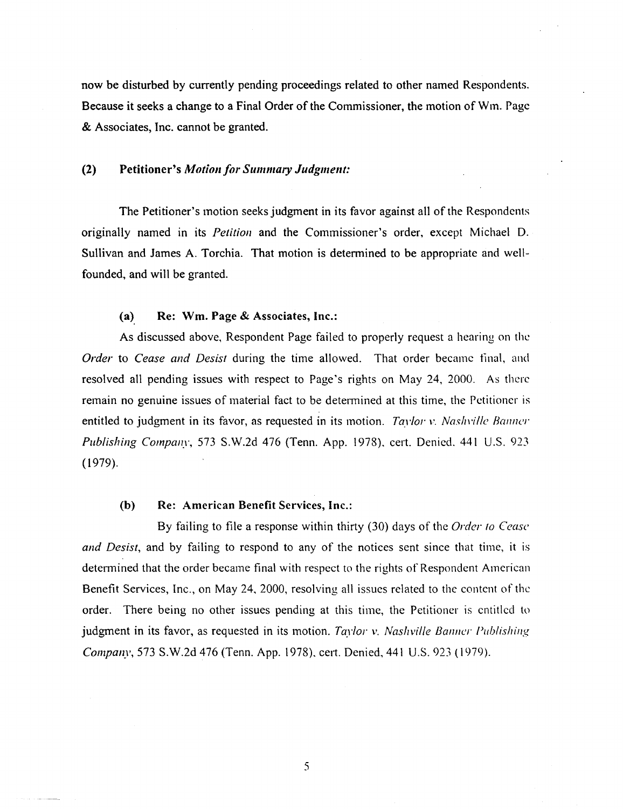now be disturbed by currently pending proceedings related to other named Respondents. Because it seeks a change to a Final Order of the Commissioner, the motion of Wm. Page & Associates, Inc. cannot be granted.

#### (2) Petitioner's *Motio11 for Summary Judgmeut:*

The Petitioner's motion seeks judgment in its favor against all of the Respondents originally named in its *Petition* and the Commissioner's order, except Michael D. Sullivan and James A. Torchia. That motion is determined to be appropriate and wellfounded, and will be granted.

#### (a) Re: Wm. Page & Associates, Inc.:

As discussed above, Respondent Page failed to properly request a hearing on the *Order* to *Cease and Desist* during the time allowed. That order became final, and resolved all pending issues with respect to Page's rights on May 24, 2000. As there remain no genuine issues of material fact to be determined at this time, the Petitioner is entitled to judgment in its favor, as requested in its motion. *Taylor v. Nashville Banner Publishing Company,* 573 S.W.2d 476 (Tenn. App. 1978). cert. Denied. 441 U.S. 923  $(1979).$ 

### (b) Re: American Benefit Services, Inc.:

By failing to file a response within thirty (30) days of the *Order to Cease and Desist,* and by failing to respond to any of the notices sent since that time, it is determined that the order became final with respect to the rights of Respondent American Benefit Services, Inc., on May 24, 2000, resolving all issues related to the content of the order. There being no other issues pending at this time, the Petitioner is entitled to judgment in its favor, as requested in its motion. *Taylor v. Nashville Banner Publishing Company,* 573 S.W.2d 476 (Tenn. App. 1978), cert. Denied, 441 U.S. 923 ( 1979).

5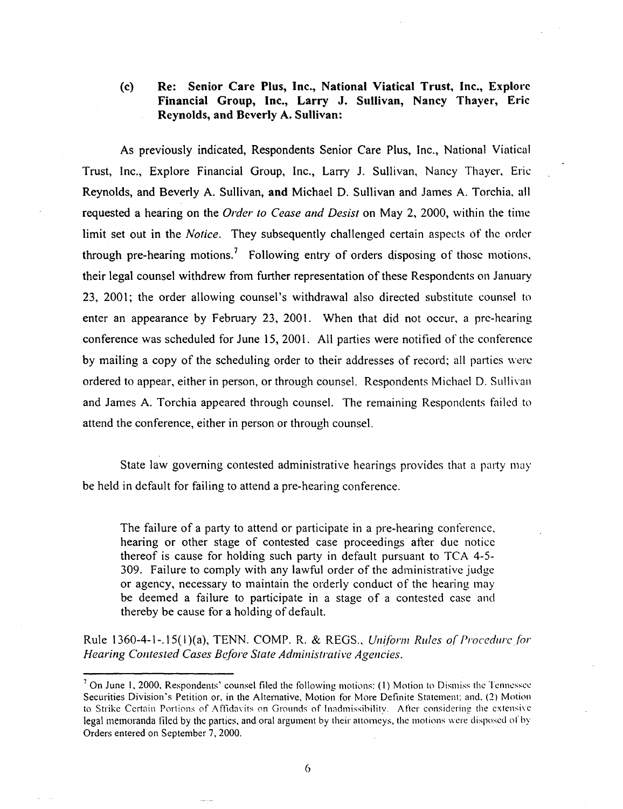# (c) Re: Senior Care Plus, Inc., National Viatical Trust, Inc., Explore Financial Group, Inc., Larry J. Sullivan, Nancy Thayer, Eric Reynolds, and Beverly A. Sullivan:

As previously indicated, Respondents Senior Care Plus, Inc., National Viatica! Trust, Inc., Explore Financial Group, Inc., Larry J. Sullivan, Nancy Thayer, Eric Reynolds, and Beverly A. Sullivan, and Michael D. Sullivan and James A. Torchia. all requested a hearing on the *Order to Cease and Desist* on May 2, 2000, within the time limit set out in the *Notice.* They subsequently challenged certain aspects of the order through pre-hearing motions.<sup>7</sup> Following entry of orders disposing of those motions. their legal counsel withdrew from further representation of these Respondents on January 23, 2001; the order allowing counsel's withdrawal also directed substitute counsel to enter an appearance by February 23, 2001. When that did not occur. a pre-hearing conference was scheduled for June 15, 2001. All parties were notified of the conference by mailing a copy of the scheduling order to their addresses of record; all parties were ordered to appear, either in person, or through counsel. Respondents Michael D. Sullivan and James A. Torchia appeared through counsel. The remaining Respondents failed to attend the conference, either in person or through counsel.

State law governing contested administrative hearings provides that a party may be held in default for failing to attend a pre-hearing conference.

The failure of a party to attend or participate in a pre-hearing conference. hearing or other stage of contested case proceedings atter due notice thereof is cause for holding such party in default pursuant to TCA 4-5- 309. Failure to comply with any lawful order of the administrative judge or agency, necessary to maintain the orderly conduct of the hearing may be deemed a failure to participate in a stage of a contested case and thereby be cause for a holding of default.

Rule 1360-4-1-.15( I )(a), TENN. COMP. R. & REGS .. *Uniform Rules o( Procedure for Hearing Contested Cases Before State Administrative Agencies.* 

<sup>&</sup>lt;sup>7</sup> On June 1, 2000, Respondents' counsel filed the following motions: (1) Motion to Dismiss the Tennessee Securities Division's Petition or, in the Altemative, Motion for More Definite Statement: and. (2) Motion to Strike Certain Portions of Affidavits on Grounds of Inadmissibility. After considering the extensive legal memoranda filed by the parties. and oral argument by their attomeys, the motions were disposed of by Orders entered on September 7, 2000.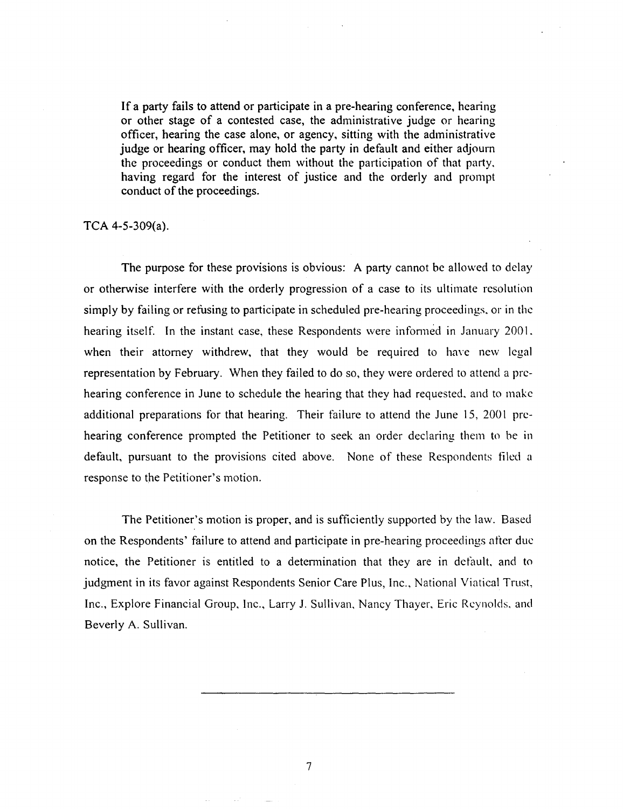If a party fails to attend or participate in a pre-hearing conference, hearing or other stage of a contested case, the administrative judge or hearing officer, hearing the case alone, or agency, sitting with the administrative judge or hearing officer, may hold the party in default and either adjourn the proceedings or conduct them without the participation of that party, having regard for the interest of justice and the orderly and prompt conduct of the proceedings.

TCA 4-5-309(a).

The purpose for these provisions is obvious: A party cannot be allowed to delay or otherwise interfere with the orderly progression of a case to its ultimate resolution simply by failing or refusing to participate in scheduled pre-hearing proceedings. or in the hearing itself. In the instant case, these Respondents were informed in January 2001. when their attorney withdrew, that they would be required to have new legal representation by February. When they failed to do so, they were ordered to attend a prehearing conference in June to schedule the hearing that they had requested. and to make additional preparations for that hearing. Their failure to attend the June 15, 2001 prehearing conference prompted the Petitioner to seek an order declaring them to be in default, pursuant to the provisions cited above. None of these Respondents tiled a response to the Petitioner's motion.

The Petitioner's motion is proper, and is sufficiently supported by the law. Based on the Respondents' failure to attend and participate in pre-hearing proceedings after due notice, the Petitioner is entitled to a determination that they are in default, and to judgment in its favor against Respondents Senior Care Plus, Inc., National Viatical Trust, Inc., Explore Financial Group, Inc., Larry J. Sullivan, Nancy Thayer, Eric Reynolds. and Beverly A. Sullivan.

7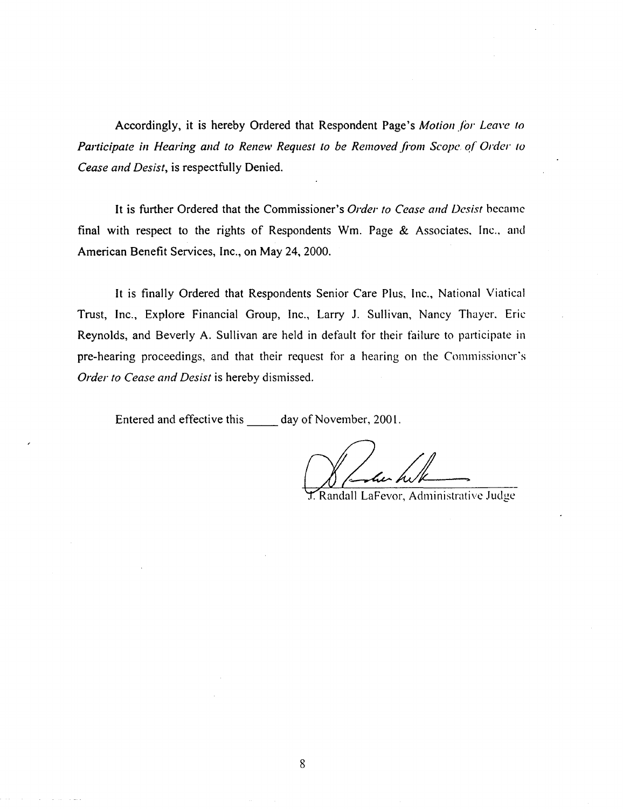Accordingly, it is hereby Ordered that Respondent Page's *Motion for Leave to Participate in Hearing and to Renew Request to be Removed from Scope. of Order to Cease and Desist,* is respectfully Denied.

It is further Ordered that the Commissioner's *Order to Cease and Desist* became final with respect to the rights of Respondents Wm. Page  $\&$  Associates, Inc., and American Benefit Services, Inc., on May 24, 2000.

It is finally Ordered that Respondents Senior Care Plus, Inc., National Viatica) Trust, Inc., Explore Financial Group, Inc., Larry J. Sullivan, Nancy Thayer. Eric Reynolds, and Beverly A. Sullivan are held in default for their failure to participate in pre-hearing proceedings, and that their request for a hearing on the Commissioner's *Order to Cease and Desist* is hereby dismissed.

Entered and effective this day of November, 2001.

J. Randall LaFevor, Administrative Judge